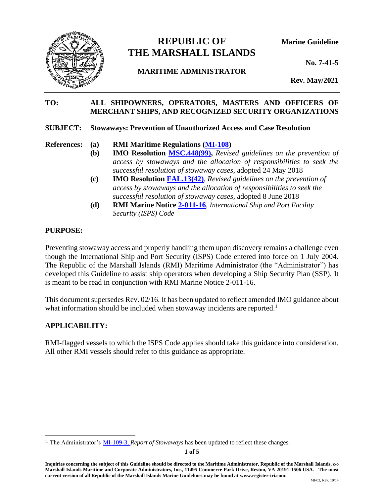

# **REPUBLIC OF Marine Guideline THE MARSHALL ISLANDS**

## **MARITIME ADMINISTRATOR**

**No. 7-41-5**

**Rev. May/2021**

#### **TO: ALL SHIPOWNERS, OPERATORS, MASTERS AND OFFICERS OF MERCHANT SHIPS, AND RECOGNIZED SECURITY ORGANIZATIONS**

#### **SUBJECT: Stowaways: Prevention of Unauthorized Access and Case Resolution**

- **References: (a) RMI Maritime Regulations [\(MI-108\)](https://www.register-iri.com/wp-content/uploads/MI-108.pdf)**
	- **(b) IMO Resolution [MSC.448\(99\),](https://www.register-iri.com/wp-content/uploads/MSC.44899.pdf)** *Revised guidelines on the prevention of access by stowaways and the allocation of responsibilities to seek the successful resolution of stowaway cases*, adopted 24 May 2018
	- **(c) IMO Resolution [FAL.13\(42\)](https://www.register-iri.com/wp-content/uploads/FAL.1342.pdf)**, *Revised guidelines on the prevention of access by stowaways and the allocation of responsibilities to seek the successful resolution of stowaway cases,* adopted 8 June 2018
	- **(d) RMI Marine Notice [2-011-16](https://www.register-iri.com/wp-content/uploads/MN-2-011-16.pdf)**, *International Ship and Port Facility Security (ISPS) Code*

## **PURPOSE:**

Preventing stowaway access and properly handling them upon discovery remains a challenge even though the International Ship and Port Security (ISPS) Code entered into force on 1 July 2004. The Republic of the Marshall Islands (RMI) Maritime Administrator (the "Administrator") has developed this Guideline to assist ship operators when developing a Ship Security Plan (SSP). It is meant to be read in conjunction with RMI Marine Notice 2-011-16.

This document supersedes Rev. 02/16. It has been updated to reflect amended IMO guidance about what information should be included when stowaway incidents are reported.<sup>1</sup>

### **APPLICABILITY:**

RMI-flagged vessels to which the ISPS Code applies should take this guidance into consideration. All other RMI vessels should refer to this guidance as appropriate.

<sup>&</sup>lt;sup>1.</sup> The Administrator's [MI-109-3,](https://www.register-iri.com/wp-content/uploads/MI-109-3-Report-of-Stowaways.pdf) *Report of Stowaways* has been updated to reflect these changes.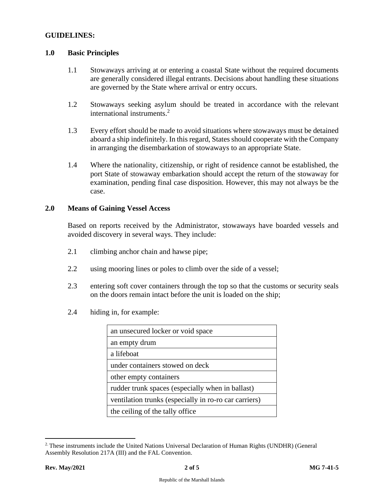#### **GUIDELINES:**

#### **1.0 Basic Principles**

- 1.1 Stowaways arriving at or entering a coastal State without the required documents are generally considered illegal entrants. Decisions about handling these situations are governed by the State where arrival or entry occurs.
- 1.2 Stowaways seeking asylum should be treated in accordance with the relevant international instruments. 2
- 1.3 Every effort should be made to avoid situations where stowaways must be detained aboard a ship indefinitely. In this regard, States should cooperate with the Company in arranging the disembarkation of stowaways to an appropriate State.
- 1.4 Where the nationality, citizenship, or right of residence cannot be established, the port State of stowaway embarkation should accept the return of the stowaway for examination, pending final case disposition. However, this may not always be the case.

#### **2.0 Means of Gaining Vessel Access**

Based on reports received by the Administrator, stowaways have boarded vessels and avoided discovery in several ways. They include:

- 2.1 climbing anchor chain and hawse pipe;
- 2.2 using mooring lines or poles to climb over the side of a vessel;
- 2.3 entering soft cover containers through the top so that the customs or security seals on the doors remain intact before the unit is loaded on the ship;
- 2.4 hiding in, for example:

| an unsecured locker or void space                     |
|-------------------------------------------------------|
| an empty drum                                         |
| a lifeboat                                            |
| under containers stowed on deck                       |
| other empty containers                                |
| rudder trunk spaces (especially when in ballast)      |
| ventilation trunks (especially in ro-ro car carriers) |
| the ceiling of the tally office                       |

<sup>2.</sup> These instruments include the United Nations Universal Declaration of Human Rights (UNDHR) (General Assembly Resolution 217A (III) and the FAL Convention.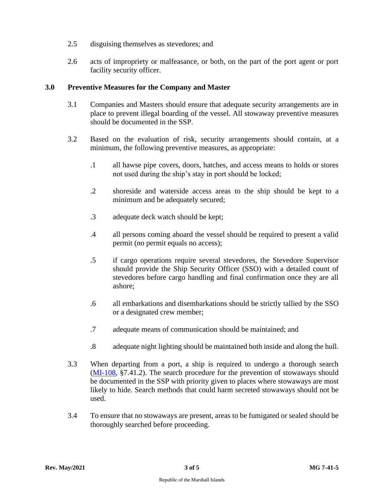- 2.5 disguising themselves as stevedores; and
- 2.6 acts of impropriety or malfeasance, or both, on the part of the port agent or port facility security officer.

#### **3.0 Preventive Measures for the Company and Master**

- 3.1 Companies and Masters should ensure that adequate security arrangements are in place to prevent illegal boarding of the vessel. All stowaway preventive measures should be documented in the SSP.
- 3.2 Based on the evaluation of risk, security arrangements should contain, at a minimum, the following preventive measures, as appropriate:
	- .1 all hawse pipe covers, doors, hatches, and access means to holds or stores not used during the ship's stay in port should be locked;
	- .2 shoreside and waterside access areas to the ship should be kept to a minimum and be adequately secured;
	- .3 adequate deck watch should be kept;
	- .4 all persons coming aboard the vessel should be required to present a valid permit (no permit equals no access);
	- .5 if cargo operations require several stevedores, the Stevedore Supervisor should provide the Ship Security Officer (SSO) with a detailed count of stevedores before cargo handling and final confirmation once they are all ashore;
	- .6 all embarkations and disembarkations should be strictly tallied by the SSO or a designated crew member;
	- .7 adequate means of communication should be maintained; and
	- .8 adequate night lighting should be maintained both inside and along the hull.
- 3.3 When departing from a port, a ship is required to undergo a thorough search [\(MI-108,](https://www.register-iri.com/wp-content/uploads/MI-108.pdf) §7.41.2). The search procedure for the prevention of stowaways should be documented in the SSP with priority given to places where stowaways are most likely to hide. Search methods that could harm secreted stowaways should not be used.
- 3.4 To ensure that no stowaways are present, areas to be fumigated or sealed should be thoroughly searched before proceeding.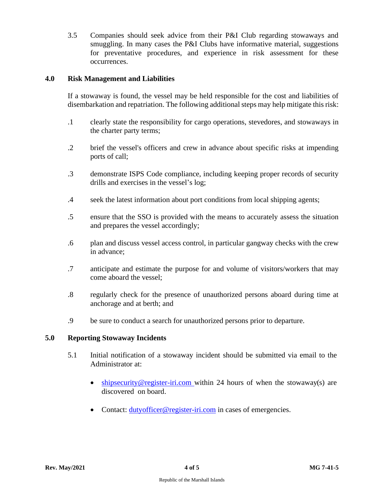3.5 Companies should seek advice from their P&I Club regarding stowaways and smuggling. In many cases the P&I Clubs have informative material, suggestions for preventative procedures, and experience in risk assessment for these occurrences.

#### **4.0 Risk Management and Liabilities**

If a stowaway is found, the vessel may be held responsible for the cost and liabilities of disembarkation and repatriation. The following additional steps may help mitigate this risk:

- .1 clearly state the responsibility for cargo operations, stevedores, and stowaways in the charter party terms;
- .2 brief the vessel's officers and crew in advance about specific risks at impending ports of call;
- .3 demonstrate ISPS Code compliance, including keeping proper records of security drills and exercises in the vessel's log;
- .4 seek the latest information about port conditions from local shipping agents;
- .5 ensure that the SSO is provided with the means to accurately assess the situation and prepares the vessel accordingly;
- .6 plan and discuss vessel access control, in particular gangway checks with the crew in advance;
- .7 anticipate and estimate the purpose for and volume of visitors/workers that may come aboard the vessel;
- .8 regularly check for the presence of unauthorized persons aboard during time at anchorage and at berth; and
- .9 be sure to conduct a search for unauthorized persons prior to departure.

#### **5.0 Reporting Stowaway Incidents**

- 5.1 Initial notification of a stowaway incident should be submitted via email to the Administrator at:
	- [shipsecurity@register-iri.com](mailto:shipsecurity@register-iri.com) within 24 hours of when the stowaway(s) are discovered on board.
	- Contact: [dutyofficer@register-iri.com](mailto:dutyofficer@register-iri.com) in cases of emergencies.